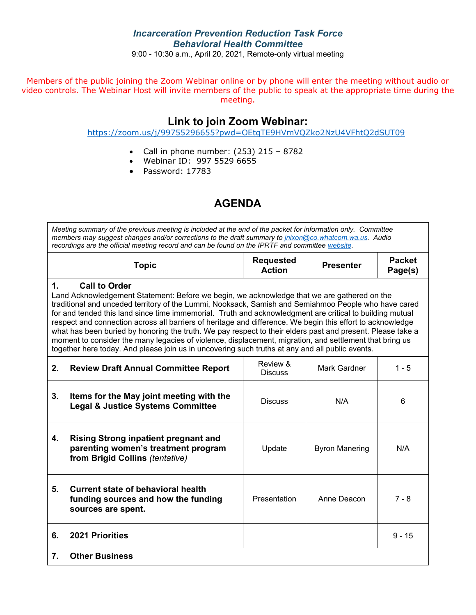## *Incarceration Prevention Reduction Task Force Behavioral Health Committee*

9:00 - 10:30 a.m., April 20, 2021, Remote-only virtual meeting

Members of the public joining the Zoom Webinar online or by phone will enter the meeting without audio or video controls. The Webinar Host will invite members of the public to speak at the appropriate time during the meeting.

## **Link to join Zoom Webinar:**

<https://zoom.us/j/99755296655?pwd=OEtqTE9HVmVQZko2NzU4VFhtQ2dSUT09>

- Call in phone number:  $(253)$  215 8782
- Webinar ID: 997 5529 6655
- Password: 17783

# **AGENDA**

*Meeting summary of the previous meeting is included at the end of the packet for information only. Committee members may suggest changes and/or corrections to the draft summary to [jnixon@co.whatcom.wa.us.](mailto:jnixon@co.whatcom.wa.us) Audio recordings are the official meeting record and can be found on the IPRTF and committe[e website.](http://www.co.whatcom.wa.us/2052/Incarceration-Prevention-and-Reduction-T)*

|                                                                                                                                                                                                                                                                                                                                                                                                                                                                                                                                                                                                                                                                                                                                                                                                  | <b>Topic</b>                                                                                                          | <b>Requested</b><br><b>Action</b> | <b>Presenter</b>      | <b>Packet</b><br>Page(s) |  |  |  |  |
|--------------------------------------------------------------------------------------------------------------------------------------------------------------------------------------------------------------------------------------------------------------------------------------------------------------------------------------------------------------------------------------------------------------------------------------------------------------------------------------------------------------------------------------------------------------------------------------------------------------------------------------------------------------------------------------------------------------------------------------------------------------------------------------------------|-----------------------------------------------------------------------------------------------------------------------|-----------------------------------|-----------------------|--------------------------|--|--|--|--|
| $\mathbf 1$<br><b>Call to Order</b><br>Land Acknowledgement Statement: Before we begin, we acknowledge that we are gathered on the<br>traditional and unceded territory of the Lummi, Nooksack, Samish and Semiahmoo People who have cared<br>for and tended this land since time immemorial. Truth and acknowledgment are critical to building mutual<br>respect and connection across all barriers of heritage and difference. We begin this effort to acknowledge<br>what has been buried by honoring the truth. We pay respect to their elders past and present. Please take a<br>moment to consider the many legacies of violence, displacement, migration, and settlement that bring us<br>together here today. And please join us in uncovering such truths at any and all public events. |                                                                                                                       |                                   |                       |                          |  |  |  |  |
| 2.                                                                                                                                                                                                                                                                                                                                                                                                                                                                                                                                                                                                                                                                                                                                                                                               | <b>Review Draft Annual Committee Report</b>                                                                           | Review &<br><b>Discuss</b>        | Mark Gardner          | $1 - 5$                  |  |  |  |  |
| 3.                                                                                                                                                                                                                                                                                                                                                                                                                                                                                                                                                                                                                                                                                                                                                                                               | Items for the May joint meeting with the<br><b>Legal &amp; Justice Systems Committee</b>                              | <b>Discuss</b>                    | N/A                   | 6                        |  |  |  |  |
| 4.                                                                                                                                                                                                                                                                                                                                                                                                                                                                                                                                                                                                                                                                                                                                                                                               | <b>Rising Strong inpatient pregnant and</b><br>parenting women's treatment program<br>from Brigid Collins (tentative) | Update                            | <b>Byron Manering</b> | N/A                      |  |  |  |  |
| 5.                                                                                                                                                                                                                                                                                                                                                                                                                                                                                                                                                                                                                                                                                                                                                                                               | <b>Current state of behavioral health</b><br>funding sources and how the funding<br>sources are spent.                | Presentation                      | Anne Deacon           | $7 - 8$                  |  |  |  |  |
| 6.                                                                                                                                                                                                                                                                                                                                                                                                                                                                                                                                                                                                                                                                                                                                                                                               | <b>2021 Priorities</b>                                                                                                |                                   |                       | $9 - 15$                 |  |  |  |  |
| 7.                                                                                                                                                                                                                                                                                                                                                                                                                                                                                                                                                                                                                                                                                                                                                                                               | <b>Other Business</b>                                                                                                 |                                   |                       |                          |  |  |  |  |